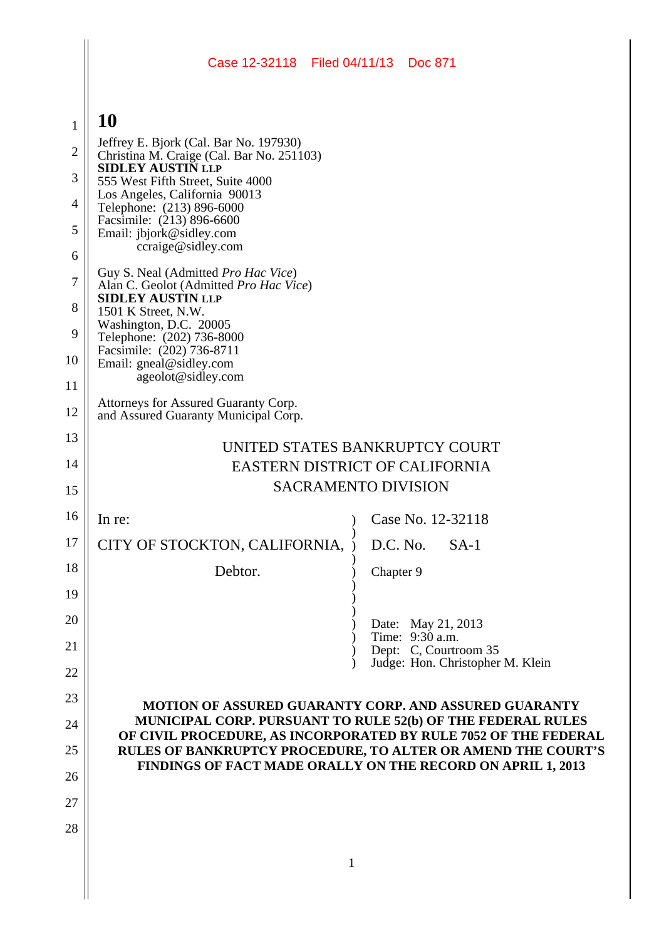# $\mathbf{1} \parallel \mathbf{10}$

| $\bf{I}$ |                                                                                     |                                                                                                                                |
|----------|-------------------------------------------------------------------------------------|--------------------------------------------------------------------------------------------------------------------------------|
| 2        | Jeffrey E. Bjork (Cal. Bar No. 197930)<br>Christina M. Craige (Cal. Bar No. 251103) |                                                                                                                                |
| 3        | <b>SIDLEY AUSTIN LLP</b><br>555 West Fifth Street, Suite 4000                       |                                                                                                                                |
| 4        | Los Angeles, California 90013<br>Telephone: (213) 896-6000                          |                                                                                                                                |
| 5        | Facsimile: (213) 896-6600<br>Email: jbjork@sidley.com                               |                                                                                                                                |
| 6        | ccraige@sidley.com                                                                  |                                                                                                                                |
| $\tau$   | Guy S. Neal (Admitted Pro Hac Vice)<br>Alan C. Geolot (Admitted Pro Hac Vice)       |                                                                                                                                |
| 8        | <b>SIDLEY AUSTIN LLP</b><br>1501 K Street, N.W.                                     |                                                                                                                                |
| 9        | Washington, D.C. 20005<br>Telephone: (202) 736-8000                                 |                                                                                                                                |
| 10       | Facsimile: (202) 736-8711                                                           |                                                                                                                                |
| 11       | Email: gneal@sidley.com<br>ageolot@sidley.com                                       |                                                                                                                                |
| 12       | Attorneys for Assured Guaranty Corp.<br>and Assured Guaranty Municipal Corp.        |                                                                                                                                |
| 13       |                                                                                     | UNITED STATES BANKRUPTCY COURT                                                                                                 |
| 14       | EASTERN DISTRICT OF CALIFORNIA                                                      |                                                                                                                                |
| 15       | <b>SACRAMENTO DIVISION</b>                                                          |                                                                                                                                |
| 16       | In re:                                                                              | Case No. 12-32118                                                                                                              |
| 17       | CITY OF STOCKTON, CALIFORNIA,                                                       | D.C. No.<br>$SA-1$                                                                                                             |
| 18       | Debtor.                                                                             | Chapter 9                                                                                                                      |
| 19       |                                                                                     |                                                                                                                                |
| 20       |                                                                                     | Date: May 21, 2013                                                                                                             |
| 21       |                                                                                     | Time: 9:30 a.m.<br>Dept: C, Courtroom 35                                                                                       |
| 22       |                                                                                     | Judge: Hon. Christopher M. Klein                                                                                               |
| 23       |                                                                                     | MOTION OF ASSURED GUARANTY CORP. AND ASSURED GUARANTY                                                                          |
| 24       |                                                                                     | MUNICIPAL CORP. PURSUANT TO RULE 52(b) OF THE FEDERAL RULES<br>OF CIVIL PROCEDURE, AS INCORPORATED BY RULE 7052 OF THE FEDERAL |
| 25       |                                                                                     | RULES OF BANKRUPTCY PROCEDURE, TO ALTER OR AMEND THE COURT'S                                                                   |
| 26       |                                                                                     | FINDINGS OF FACT MADE ORALLY ON THE RECORD ON APRIL 1, 2013                                                                    |
| 27       |                                                                                     |                                                                                                                                |
| 28       |                                                                                     |                                                                                                                                |
|          | 1                                                                                   |                                                                                                                                |
|          |                                                                                     |                                                                                                                                |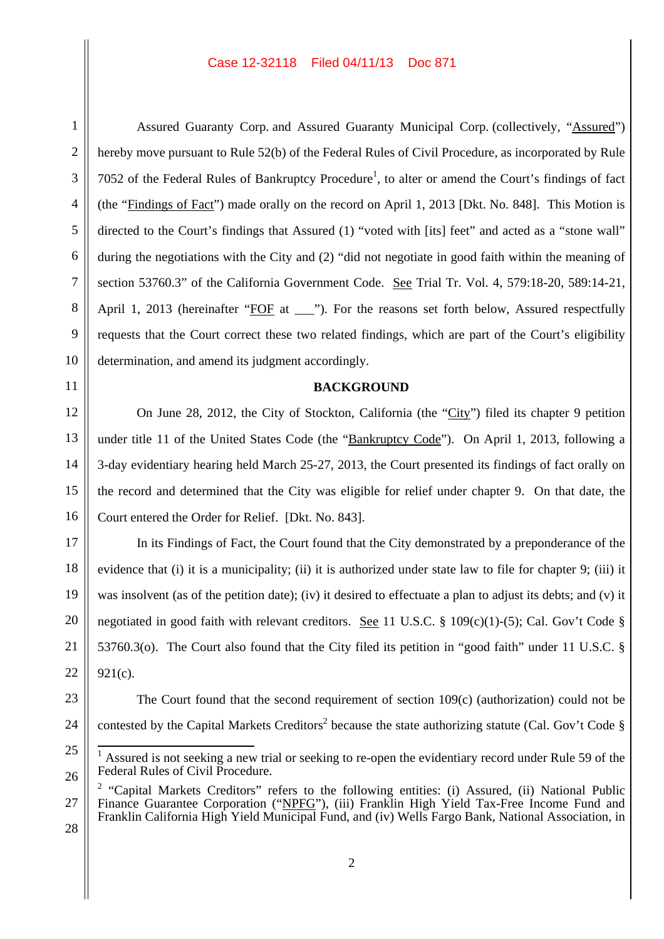Assured Guaranty Corp. and Assured Guaranty Municipal Corp. (collectively, "Assured") hereby move pursuant to Rule 52(b) of the Federal Rules of Civil Procedure, as incorporated by Rule 7052 of the Federal Rules of Bankruptcy Procedure<sup>1</sup>, to alter or amend the Court's findings of fact (the "Findings of Fact") made orally on the record on April 1, 2013 [Dkt. No. 848]. This Motion is directed to the Court's findings that Assured (1) "voted with [its] feet" and acted as a "stone wall" during the negotiations with the City and (2) "did not negotiate in good faith within the meaning of section 53760.3" of the California Government Code. See Trial Tr. Vol. 4, 579:18-20, 589:14-21, April 1, 2013 (hereinafter "FOF at \_\_\_"). For the reasons set forth below, Assured respectfully requests that the Court correct these two related findings, which are part of the Court's eligibility determination, and amend its judgment accordingly.

## **BACKGROUND**

On June 28, 2012, the City of Stockton, California (the "City") filed its chapter 9 petition under title 11 of the United States Code (the "Bankruptcy Code"). On April 1, 2013, following a 3-day evidentiary hearing held March 25-27, 2013, the Court presented its findings of fact orally on the record and determined that the City was eligible for relief under chapter 9. On that date, the Court entered the Order for Relief. [Dkt. No. 843].

In its Findings of Fact, the Court found that the City demonstrated by a preponderance of the evidence that (i) it is a municipality; (ii) it is authorized under state law to file for chapter 9; (iii) it was insolvent (as of the petition date); (iv) it desired to effectuate a plan to adjust its debts; and (v) it negotiated in good faith with relevant creditors. See 11 U.S.C. § 109(c)(1)-(5); Cal. Gov't Code § 53760.3(o). The Court also found that the City filed its petition in "good faith" under 11 U.S.C. § 921(c).

23 24

1

2

3

4

5

6

7

8

9

10

11

12

13

14

15

16

17

18

19

20

21

22

25 26 The Court found that the second requirement of section 109(c) (authorization) could not be

contested by the Capital Markets Creditors<sup>2</sup> because the state authorizing statute (Cal. Gov't Code  $\S$ )

- 27 <sup>2</sup> "Capital Markets Creditors" refers to the following entities: (i) Assured, (ii) National Public Finance Guarantee Corporation ("NPFG"), (iii) Franklin High Yield Tax-Free Income Fund and Franklin California High Yield Municipal Fund, and (iv) Wells Fargo Bank, National Association, in
- 28

Assured is not seeking a new trial or seeking to re-open the evidentiary record under Rule 59 of the Federal Rules of Civil Procedure.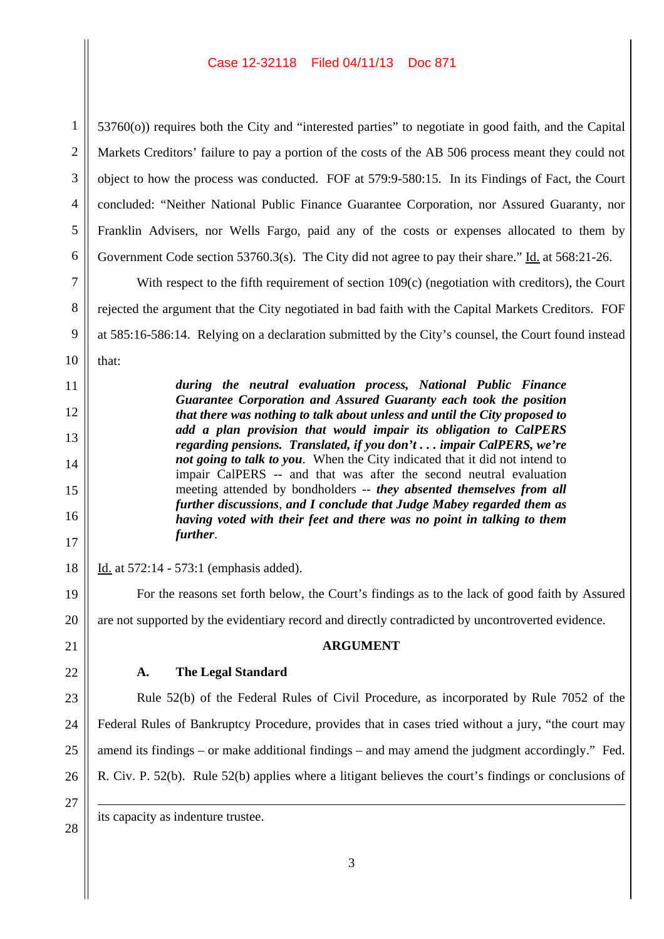1 2 3 4 5 6 53760(o)) requires both the City and "interested parties" to negotiate in good faith, and the Capital Markets Creditors' failure to pay a portion of the costs of the AB 506 process meant they could not object to how the process was conducted. FOF at 579:9-580:15. In its Findings of Fact, the Court concluded: "Neither National Public Finance Guarantee Corporation, nor Assured Guaranty, nor Franklin Advisers, nor Wells Fargo, paid any of the costs or expenses allocated to them by Government Code section 53760.3(s). The City did not agree to pay their share." Id. at 568:21-26.

With respect to the fifth requirement of section 109(c) (negotiation with creditors), the Court rejected the argument that the City negotiated in bad faith with the Capital Markets Creditors. FOF at 585:16-586:14. Relying on a declaration submitted by the City's counsel, the Court found instead that:

> *during the neutral evaluation process, National Public Finance Guarantee Corporation and Assured Guaranty each took the position that there was nothing to talk about unless and until the City proposed to add a plan provision that would impair its obligation to CalPERS regarding pensions. Translated, if you don't . . . impair CalPERS, we're not going to talk to you*. When the City indicated that it did not intend to impair CalPERS -- and that was after the second neutral evaluation meeting attended by bondholders -- *they absented themselves from all further discussions*, *and I conclude that Judge Mabey regarded them as having voted with their feet and there was no point in talking to them further*.

Id. at 572:14 - 573:1 (emphasis added).

For the reasons set forth below, the Court's findings as to the lack of good faith by Assured are not supported by the evidentiary record and directly contradicted by uncontroverted evidence. **ARGUMENT A. The Legal Standard** Rule 52(b) of the Federal Rules of Civil Procedure, as incorporated by Rule 7052 of the

Federal Rules of Bankruptcy Procedure, provides that in cases tried without a jury, "the court may amend its findings – or make additional findings – and may amend the judgment accordingly." Fed. R. Civ. P. 52(b). Rule 52(b) applies where a litigant believes the court's findings or conclusions of

26 27

28

7

8

9

10

11

12

13

14

15

16

17

18

19

20

21

22

23

24

25

its capacity as indenture trustee.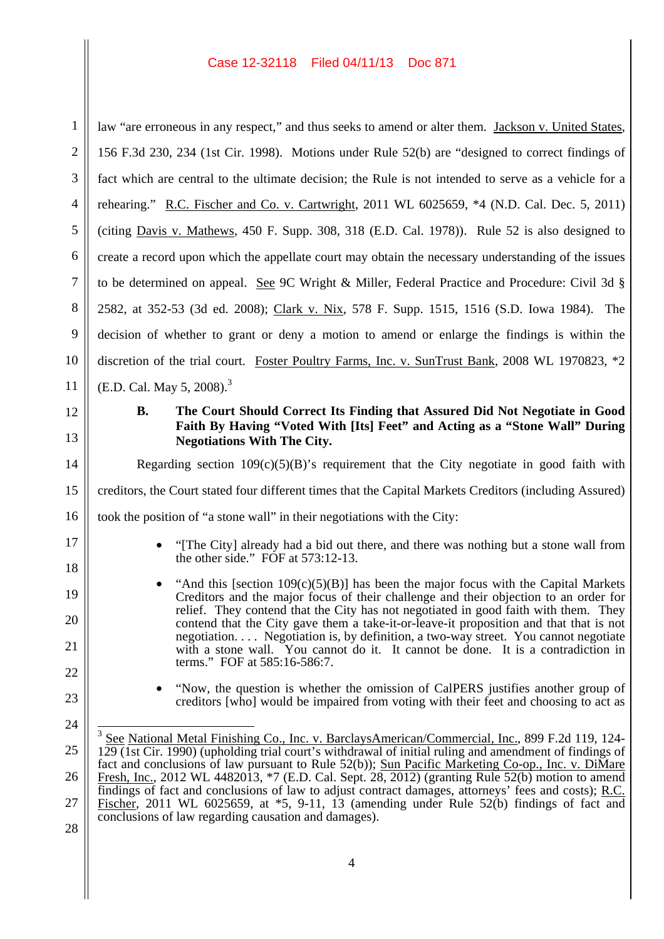| $\mathbf{1}$               | law "are erroneous in any respect," and thus seeks to amend or alter them. Jackson v. United States,                                                                                                                                                                                                                                                                                                                                                                                                                                                                                                                                                                                      |  |  |
|----------------------------|-------------------------------------------------------------------------------------------------------------------------------------------------------------------------------------------------------------------------------------------------------------------------------------------------------------------------------------------------------------------------------------------------------------------------------------------------------------------------------------------------------------------------------------------------------------------------------------------------------------------------------------------------------------------------------------------|--|--|
| $\overline{2}$             | 156 F.3d 230, 234 (1st Cir. 1998). Motions under Rule 52(b) are "designed to correct findings of                                                                                                                                                                                                                                                                                                                                                                                                                                                                                                                                                                                          |  |  |
| 3                          | fact which are central to the ultimate decision; the Rule is not intended to serve as a vehicle for a                                                                                                                                                                                                                                                                                                                                                                                                                                                                                                                                                                                     |  |  |
| $\overline{4}$             | rehearing." R.C. Fischer and Co. v. Cartwright, 2011 WL 6025659, *4 (N.D. Cal. Dec. 5, 2011)                                                                                                                                                                                                                                                                                                                                                                                                                                                                                                                                                                                              |  |  |
| 5                          | (citing Davis v. Mathews, 450 F. Supp. 308, 318 (E.D. Cal. 1978)). Rule 52 is also designed to                                                                                                                                                                                                                                                                                                                                                                                                                                                                                                                                                                                            |  |  |
| 6                          | create a record upon which the appellate court may obtain the necessary understanding of the issues                                                                                                                                                                                                                                                                                                                                                                                                                                                                                                                                                                                       |  |  |
| 7                          | to be determined on appeal. See 9C Wright & Miller, Federal Practice and Procedure: Civil 3d $\S$                                                                                                                                                                                                                                                                                                                                                                                                                                                                                                                                                                                         |  |  |
| 8                          | 2582, at 352-53 (3d ed. 2008); Clark v. Nix, 578 F. Supp. 1515, 1516 (S.D. Iowa 1984). The                                                                                                                                                                                                                                                                                                                                                                                                                                                                                                                                                                                                |  |  |
| 9                          | decision of whether to grant or deny a motion to amend or enlarge the findings is within the                                                                                                                                                                                                                                                                                                                                                                                                                                                                                                                                                                                              |  |  |
| 10                         | discretion of the trial court. Foster Poultry Farms, Inc. v. SunTrust Bank, 2008 WL 1970823, *2                                                                                                                                                                                                                                                                                                                                                                                                                                                                                                                                                                                           |  |  |
| 11                         | (E.D. Cal. May 5, 2008). <sup>3</sup>                                                                                                                                                                                                                                                                                                                                                                                                                                                                                                                                                                                                                                                     |  |  |
| 12                         | The Court Should Correct Its Finding that Assured Did Not Negotiate in Good<br><b>B.</b>                                                                                                                                                                                                                                                                                                                                                                                                                                                                                                                                                                                                  |  |  |
| 13                         | Faith By Having "Voted With [Its] Feet" and Acting as a "Stone Wall" During<br><b>Negotiations With The City.</b>                                                                                                                                                                                                                                                                                                                                                                                                                                                                                                                                                                         |  |  |
| 14                         | Regarding section $109(c)(5)(B)$ 's requirement that the City negotiate in good faith with                                                                                                                                                                                                                                                                                                                                                                                                                                                                                                                                                                                                |  |  |
| 15                         | creditors, the Court stated four different times that the Capital Markets Creditors (including Assured)                                                                                                                                                                                                                                                                                                                                                                                                                                                                                                                                                                                   |  |  |
| 16                         | took the position of "a stone wall" in their negotiations with the City:                                                                                                                                                                                                                                                                                                                                                                                                                                                                                                                                                                                                                  |  |  |
| 17<br>18                   | "[The City] already had a bid out there, and there was nothing but a stone wall from<br>the other side." FOF at 573:12-13.                                                                                                                                                                                                                                                                                                                                                                                                                                                                                                                                                                |  |  |
| 19<br>20<br>21             | "And this [section $109(c)(5)(B)$ ] has been the major focus with the Capital Markets<br>Creditors and the major focus of their challenge and their objection to an order for<br>relief. They contend that the City has not negotiated in good faith with them. They<br>contend that the City gave them a take-it-or-leave-it proposition and that that is not<br>negotiation Negotiation is, by definition, a two-way street. You cannot negotiate<br>with a stone wall. You cannot do it. It cannot be done. It is a contradiction in                                                                                                                                                   |  |  |
| 22                         | terms." FOF at 585:16-586:7.                                                                                                                                                                                                                                                                                                                                                                                                                                                                                                                                                                                                                                                              |  |  |
| 23                         | "Now, the question is whether the omission of CalPERS justifies another group of<br>creditors [who] would be impaired from voting with their feet and choosing to act as                                                                                                                                                                                                                                                                                                                                                                                                                                                                                                                  |  |  |
| 24<br>25<br>26<br>27<br>28 | 3<br>See National Metal Finishing Co., Inc. v. BarclaysAmerican/Commercial, Inc., 899 F.2d 119, 124-<br>$129(1st)$ Cir. 1990) (upholding trial court's withdrawal of initial ruling and amendment of findings of<br>fact and conclusions of law pursuant to Rule 52(b)); Sun Pacific Marketing Co-op., Inc. v. DiMare<br>Fresh, Inc., 2012 WL 4482013, *7 (E.D. Cal. Sept. 28, 2012) (granting Rule 52(b) motion to amend<br>findings of fact and conclusions of law to adjust contract damages, attorneys' fees and costs); R.C.<br>Fischer, 2011 WL 6025659, at $*5$ , 9-11, 13 (amending under Rule 52(b) findings of fact and<br>conclusions of law regarding causation and damages). |  |  |
|                            | 4                                                                                                                                                                                                                                                                                                                                                                                                                                                                                                                                                                                                                                                                                         |  |  |
|                            |                                                                                                                                                                                                                                                                                                                                                                                                                                                                                                                                                                                                                                                                                           |  |  |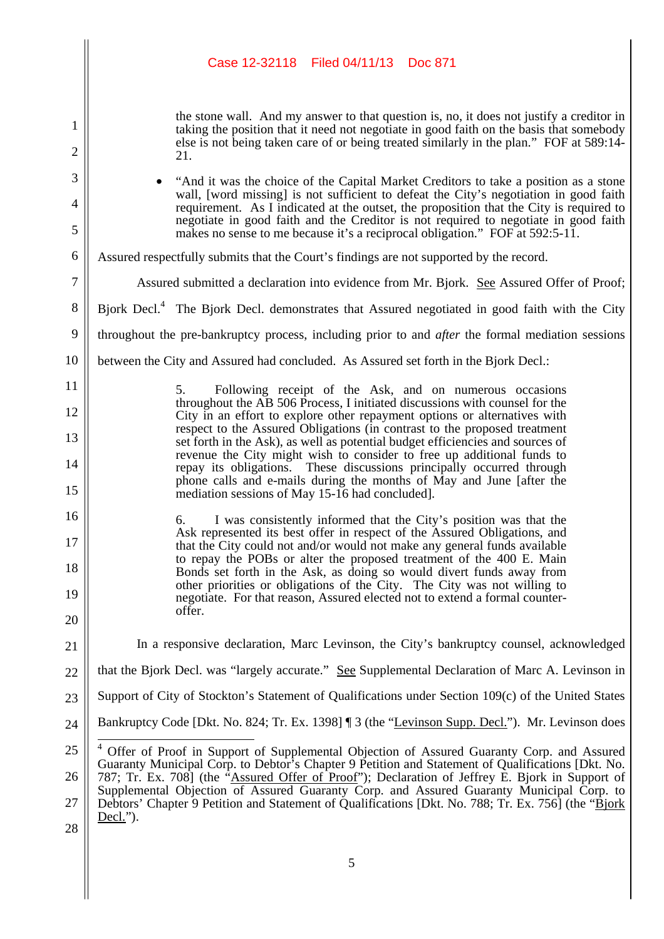the stone wall. And my answer to that question is, no, it does not justify a creditor in taking the position that it need not negotiate in good faith on the basis that somebody else is not being taken care of or being treated similarly in the plan." FOF at 589:14- 21.

† "And it was the choice of the Capital Market Creditors to take a position as a stone wall, [word missing] is not sufficient to defeat the City's negotiation in good faith requirement. As I indicated at the outset, the proposition that the City is required to negotiate in good faith and the Creditor is not required to negotiate in good faith makes no sense to me because it's a reciprocal obligation." FOF at 592:5-11.

6 Assured respectfully submits that the Court's findings are not supported by the record.

1

2

3

4

5

7

11

12

13

14

15

16

17

18

19

20

21

Assured submitted a declaration into evidence from Mr. Bjork. See Assured Offer of Proof;

8 Bjork Decl.<sup>4</sup> The Bjork Decl. demonstrates that Assured negotiated in good faith with the City

9 throughout the pre-bankruptcy process, including prior to and *after* the formal mediation sessions

10 between the City and Assured had concluded. As Assured set forth in the Bjork Decl.:

> 5. Following receipt of the Ask, and on numerous occasions throughout the AB 506 Process, I initiated discussions with counsel for the City in an effort to explore other repayment options or alternatives with respect to the Assured Obligations (in contrast to the proposed treatment set forth in the Ask), as well as potential budget efficiencies and sources of revenue the City might wish to consider to free up additional funds to repay its obligations. These discussions principally occurred through phone calls and e-mails during the months of May and June [after the mediation sessions of May 15-16 had concluded].

6. I was consistently informed that the City's position was that the Ask represented its best offer in respect of the Assured Obligations, and that the City could not and/or would not make any general funds available to repay the POBs or alter the proposed treatment of the 400 E. Main Bonds set forth in the Ask, as doing so would divert funds away from other priorities or obligations of the City. The City was not willing to negotiate. For that reason, Assured elected not to extend a formal counteroffer.

In a responsive declaration, Marc Levinson, the City's bankruptcy counsel, acknowledged

22 that the Bjork Decl. was "largely accurate." See Supplemental Declaration of Marc A. Levinson in

23 Support of City of Stockton's Statement of Qualifications under Section 109(c) of the United States

24 Bankruptcy Code [Dkt. No. 824; Tr. Ex. 1398] ¶ 3 (the "Levinson Supp. Decl."). Mr. Levinson does

<sup>25</sup> 26 27 28 <sup>4</sup> Offer of Proof in Support of Supplemental Objection of Assured Guaranty Corp. and Assured Guaranty Municipal Corp. to Debtor's Chapter 9 Petition and Statement of Qualifications [Dkt. No. 787; Tr. Ex. 708] (the "Assured Offer of Proof"); Declaration of Jeffrey E. Bjork in Support of Supplemental Objection of Assured Guaranty Corp. and Assured Guaranty Municipal Corp. to Debtors' Chapter 9 Petition and Statement of Qualifications [Dkt. No. 788; Tr. Ex. 756] (the "Bjork Decl.").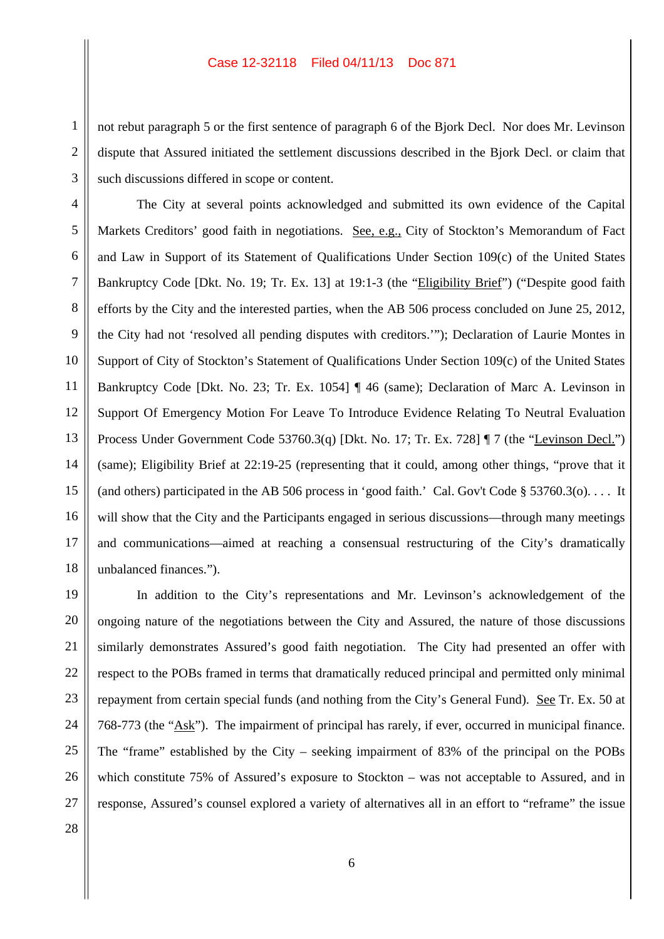not rebut paragraph 5 or the first sentence of paragraph 6 of the Bjork Decl. Nor does Mr. Levinson dispute that Assured initiated the settlement discussions described in the Bjork Decl. or claim that such discussions differed in scope or content.

The City at several points acknowledged and submitted its own evidence of the Capital Markets Creditors' good faith in negotiations. See, e.g., City of Stockton's Memorandum of Fact and Law in Support of its Statement of Qualifications Under Section 109(c) of the United States Bankruptcy Code [Dkt. No. 19; Tr. Ex. 13] at 19:1-3 (the "Eligibility Brief") ("Despite good faith efforts by the City and the interested parties, when the AB 506 process concluded on June 25, 2012, the City had not 'resolved all pending disputes with creditors.'"); Declaration of Laurie Montes in Support of City of Stockton's Statement of Qualifications Under Section 109(c) of the United States Bankruptcy Code [Dkt. No. 23; Tr. Ex. 1054] ¶ 46 (same); Declaration of Marc A. Levinson in Support Of Emergency Motion For Leave To Introduce Evidence Relating To Neutral Evaluation Process Under Government Code 53760.3(q) [Dkt. No. 17; Tr. Ex. 728] ¶ 7 (the "Levinson Decl.") (same); Eligibility Brief at 22:19-25 (representing that it could, among other things, "prove that it (and others) participated in the AB 506 process in 'good faith.' Cal. Gov't Code § 53760.3(o). . . . It will show that the City and the Participants engaged in serious discussions—through many meetings and communications—aimed at reaching a consensual restructuring of the City's dramatically unbalanced finances.").

In addition to the City's representations and Mr. Levinson's acknowledgement of the ongoing nature of the negotiations between the City and Assured, the nature of those discussions similarly demonstrates Assured's good faith negotiation. The City had presented an offer with respect to the POBs framed in terms that dramatically reduced principal and permitted only minimal repayment from certain special funds (and nothing from the City's General Fund). See Tr. Ex. 50 at 768-773 (the "Ask"). The impairment of principal has rarely, if ever, occurred in municipal finance. The "frame" established by the City – seeking impairment of 83% of the principal on the POBs which constitute 75% of Assured's exposure to Stockton – was not acceptable to Assured, and in response, Assured's counsel explored a variety of alternatives all in an effort to "reframe" the issue

1

2

3

4

5

6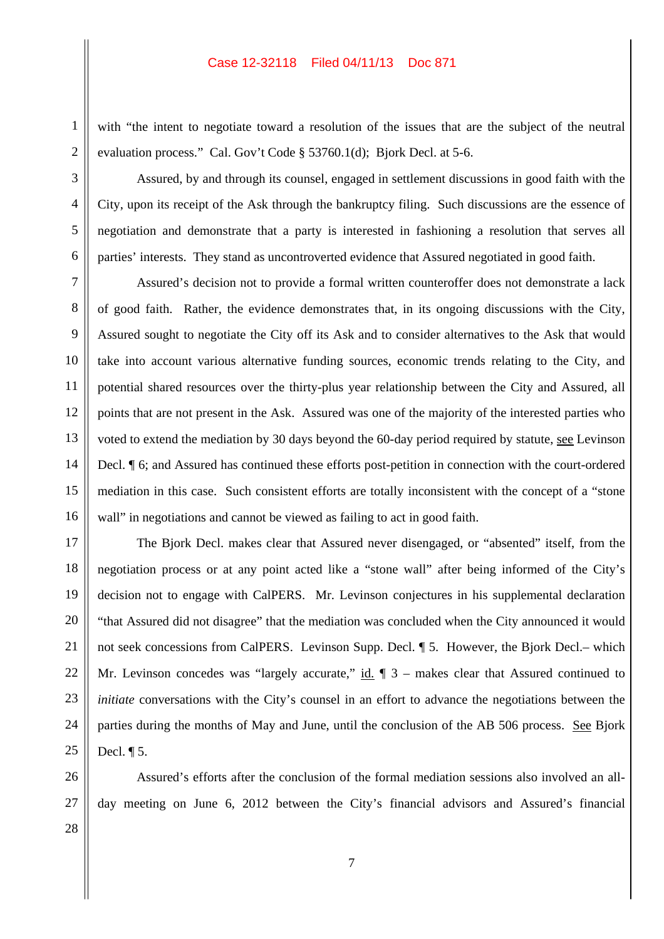with "the intent to negotiate toward a resolution of the issues that are the subject of the neutral evaluation process." Cal. Gov't Code § 53760.1(d); Bjork Decl. at 5-6.

Assured, by and through its counsel, engaged in settlement discussions in good faith with the City, upon its receipt of the Ask through the bankruptcy filing. Such discussions are the essence of negotiation and demonstrate that a party is interested in fashioning a resolution that serves all parties' interests. They stand as uncontroverted evidence that Assured negotiated in good faith.

Assured's decision not to provide a formal written counteroffer does not demonstrate a lack of good faith. Rather, the evidence demonstrates that, in its ongoing discussions with the City, Assured sought to negotiate the City off its Ask and to consider alternatives to the Ask that would take into account various alternative funding sources, economic trends relating to the City, and potential shared resources over the thirty-plus year relationship between the City and Assured, all points that are not present in the Ask. Assured was one of the majority of the interested parties who voted to extend the mediation by 30 days beyond the 60-day period required by statute, see Levinson Decl. ¶ 6; and Assured has continued these efforts post-petition in connection with the court-ordered mediation in this case. Such consistent efforts are totally inconsistent with the concept of a "stone wall" in negotiations and cannot be viewed as failing to act in good faith.

The Bjork Decl. makes clear that Assured never disengaged, or "absented" itself, from the negotiation process or at any point acted like a "stone wall" after being informed of the City's decision not to engage with CalPERS. Mr. Levinson conjectures in his supplemental declaration "that Assured did not disagree" that the mediation was concluded when the City announced it would not seek concessions from CalPERS. Levinson Supp. Decl. ¶ 5. However, the Bjork Decl.– which Mr. Levinson concedes was "largely accurate,"  $\underline{\text{id}}$ .  $\P$  3 – makes clear that Assured continued to *initiate* conversations with the City's counsel in an effort to advance the negotiations between the parties during the months of May and June, until the conclusion of the AB 506 process. See Bjork Decl. ¶ 5.

Assured's efforts after the conclusion of the formal mediation sessions also involved an allday meeting on June 6, 2012 between the City's financial advisors and Assured's financial

28

1

2

3

4

5

6

7

8

9

10

11

12

13

14

15

16

17

18

19

20

21

22

23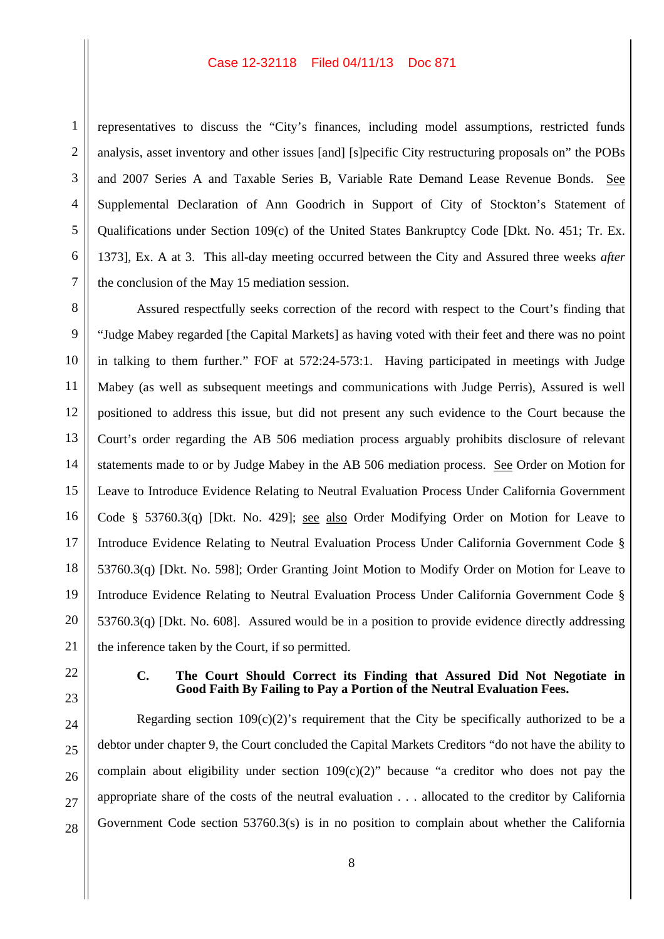representatives to discuss the "City's finances, including model assumptions, restricted funds analysis, asset inventory and other issues [and] [s]pecific City restructuring proposals on" the POBs and 2007 Series A and Taxable Series B, Variable Rate Demand Lease Revenue Bonds. See Supplemental Declaration of Ann Goodrich in Support of City of Stockton's Statement of Qualifications under Section 109(c) of the United States Bankruptcy Code [Dkt. No. 451; Tr. Ex. 1373], Ex. A at 3. This all-day meeting occurred between the City and Assured three weeks *after* the conclusion of the May 15 mediation session.

Assured respectfully seeks correction of the record with respect to the Court's finding that "Judge Mabey regarded [the Capital Markets] as having voted with their feet and there was no point in talking to them further." FOF at 572:24-573:1. Having participated in meetings with Judge Mabey (as well as subsequent meetings and communications with Judge Perris), Assured is well positioned to address this issue, but did not present any such evidence to the Court because the Court's order regarding the AB 506 mediation process arguably prohibits disclosure of relevant statements made to or by Judge Mabey in the AB 506 mediation process. See Order on Motion for Leave to Introduce Evidence Relating to Neutral Evaluation Process Under California Government Code § 53760.3(q) [Dkt. No. 429]; see also Order Modifying Order on Motion for Leave to Introduce Evidence Relating to Neutral Evaluation Process Under California Government Code § 53760.3(q) [Dkt. No. 598]; Order Granting Joint Motion to Modify Order on Motion for Leave to Introduce Evidence Relating to Neutral Evaluation Process Under California Government Code § 53760.3(q) [Dkt. No. 608]. Assured would be in a position to provide evidence directly addressing the inference taken by the Court, if so permitted.

### **C. The Court Should Correct its Finding that Assured Did Not Negotiate in Good Faith By Failing to Pay a Portion of the Neutral Evaluation Fees.**

Regarding section  $109(c)(2)$ 's requirement that the City be specifically authorized to be a debtor under chapter 9, the Court concluded the Capital Markets Creditors "do not have the ability to complain about eligibility under section 109(c)(2)" because "a creditor who does not pay the appropriate share of the costs of the neutral evaluation . . . allocated to the creditor by California Government Code section 53760.3(s) is in no position to complain about whether the California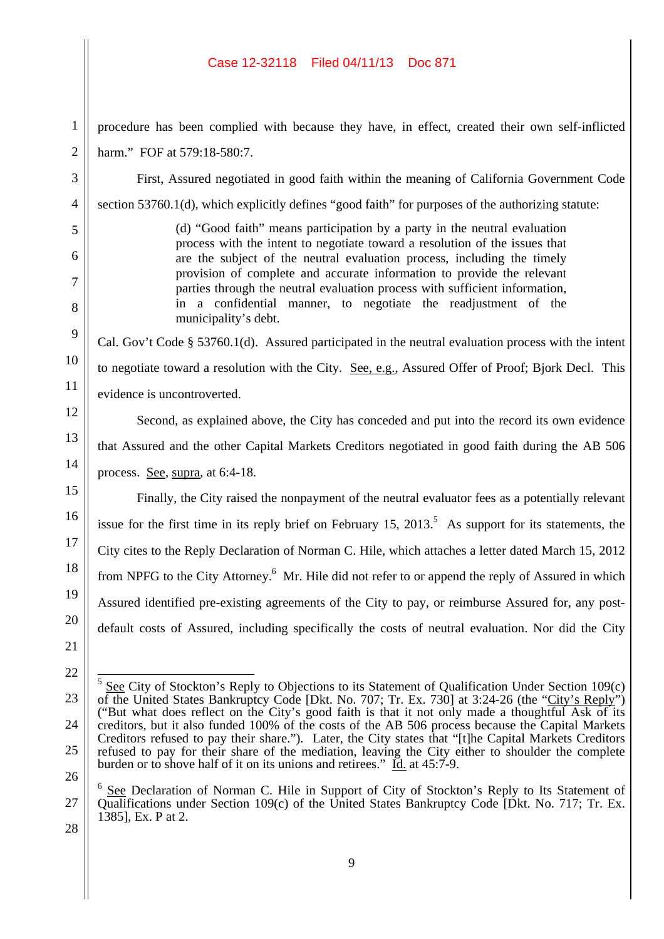| 1                       |
|-------------------------|
| $\overline{2}$          |
| 3                       |
| 4                       |
| 5                       |
| 6                       |
| $\overline{7}$          |
| 8                       |
| $\overline{Q}$          |
| 10                      |
| 11                      |
| 12                      |
| 13                      |
| 14                      |
| 15                      |
| 16                      |
| 17                      |
| 18                      |
| $\overline{1}$<br>€     |
| 20<br>)                 |
| $\overline{21}$         |
|                         |
| $\overline{\mathbf{c}}$ |
| l                       |
| 2 <sup>5</sup>          |
| 26                      |
|                         |
| ž                       |

procedure has been complied with because they have, in effect, created their own self-inflicted harm." FOF at 579:18-580:7.

First, Assured negotiated in good faith within the meaning of California Government Code section 53760.1(d), which explicitly defines "good faith" for purposes of the authorizing statute:

> (d) "Good faith" means participation by a party in the neutral evaluation process with the intent to negotiate toward a resolution of the issues that are the subject of the neutral evaluation process, including the timely provision of complete and accurate information to provide the relevant parties through the neutral evaluation process with sufficient information, in a confidential manner, to negotiate the readjustment of the municipality's debt.

Cal. Gov't Code § 53760.1(d). Assured participated in the neutral evaluation process with the intent to negotiate toward a resolution with the City. See, e.g., Assured Offer of Proof; Bjork Decl. This evidence is uncontroverted.

Second, as explained above, the City has conceded and put into the record its own evidence that Assured and the other Capital Markets Creditors negotiated in good faith during the AB 506 process. See, supra, at 6:4-18.

Finally, the City raised the nonpayment of the neutral evaluator fees as a potentially relevant issue for the first time in its reply brief on February 15, 2013.<sup>5</sup> As support for its statements, the City cites to the Reply Declaration of Norman C. Hile, which attaches a letter dated March 15, 2012 from NPFG to the City Attorney.<sup>6</sup> Mr. Hile did not refer to or append the reply of Assured in which Assured identified pre-existing agreements of the City to pay, or reimburse Assured for, any postdefault costs of Assured, including specifically the costs of neutral evaluation. Nor did the City

9

 $5$  See City of Stockton's Reply to Objections to its Statement of Qualification Under Section 109 $(c)$ of the United States Bankruptcy Code [Dkt. No. 707; Tr. Ex. 730] at 3:24-26 (the "City's Reply") ("But what does reflect on the City's good faith is that it not only made a thoughtful Ask of its creditors, but it also funded 100% of the costs of the AB 506 process because the Capital Markets Creditors refused to pay their share."). Later, the City states that "[t]he Capital Markets Creditors refused to pay for their share of the mediation, leaving the City either to shoulder the complete burden or to shove half of it on its unions and retirees."  $\underline{Id}$  at 45:7-9.

<sup>6</sup> See Declaration of Norman C. Hile in Support of City of Stockton's Reply to Its Statement of Qualifications under Section 109(c) of the United States Bankruptcy Code [Dkt. No. 717; Tr. Ex. 1385], Ex. P at 2.